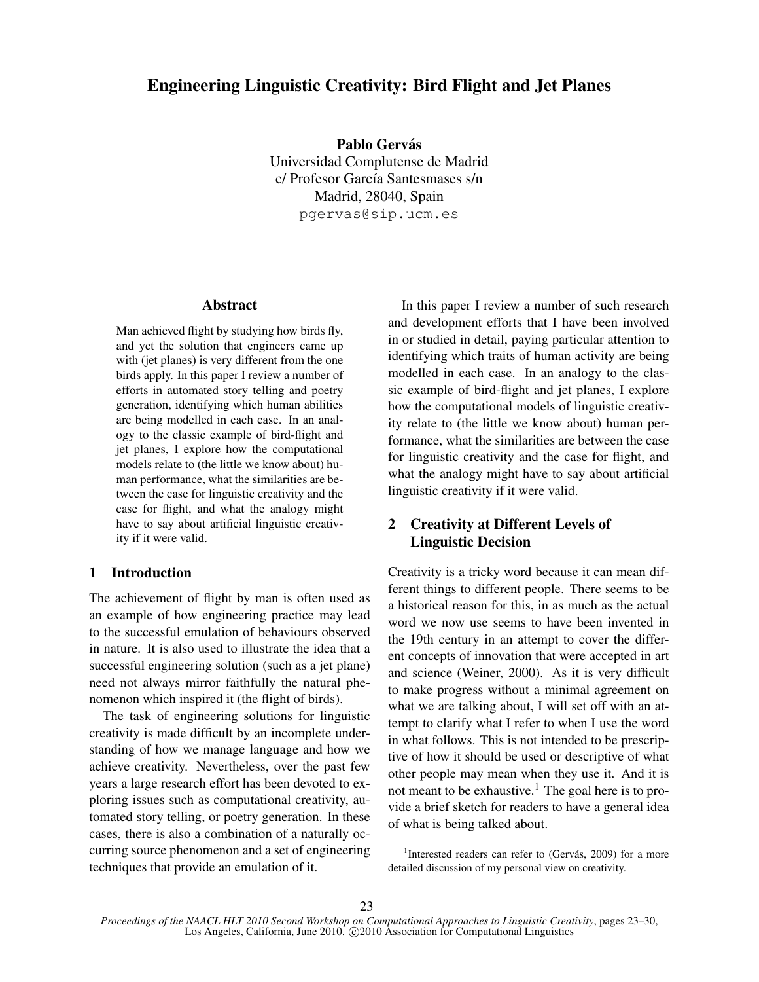# Engineering Linguistic Creativity: Bird Flight and Jet Planes

Pablo Gervás Universidad Complutense de Madrid c/ Profesor García Santesmases s/n Madrid, 28040, Spain pgervas@sip.ucm.es

## Abstract

Man achieved flight by studying how birds fly, and yet the solution that engineers came up with (jet planes) is very different from the one birds apply. In this paper I review a number of efforts in automated story telling and poetry generation, identifying which human abilities are being modelled in each case. In an analogy to the classic example of bird-flight and jet planes, I explore how the computational models relate to (the little we know about) human performance, what the similarities are between the case for linguistic creativity and the case for flight, and what the analogy might have to say about artificial linguistic creativity if it were valid.

## 1 Introduction

The achievement of flight by man is often used as an example of how engineering practice may lead to the successful emulation of behaviours observed in nature. It is also used to illustrate the idea that a successful engineering solution (such as a jet plane) need not always mirror faithfully the natural phenomenon which inspired it (the flight of birds).

The task of engineering solutions for linguistic creativity is made difficult by an incomplete understanding of how we manage language and how we achieve creativity. Nevertheless, over the past few years a large research effort has been devoted to exploring issues such as computational creativity, automated story telling, or poetry generation. In these cases, there is also a combination of a naturally occurring source phenomenon and a set of engineering techniques that provide an emulation of it.

In this paper I review a number of such research and development efforts that I have been involved in or studied in detail, paying particular attention to identifying which traits of human activity are being modelled in each case. In an analogy to the classic example of bird-flight and jet planes, I explore how the computational models of linguistic creativity relate to (the little we know about) human performance, what the similarities are between the case for linguistic creativity and the case for flight, and what the analogy might have to say about artificial linguistic creativity if it were valid.

# 2 Creativity at Different Levels of Linguistic Decision

Creativity is a tricky word because it can mean different things to different people. There seems to be a historical reason for this, in as much as the actual word we now use seems to have been invented in the 19th century in an attempt to cover the different concepts of innovation that were accepted in art and science (Weiner, 2000). As it is very difficult to make progress without a minimal agreement on what we are talking about, I will set off with an attempt to clarify what I refer to when I use the word in what follows. This is not intended to be prescriptive of how it should be used or descriptive of what other people may mean when they use it. And it is not meant to be exhaustive.<sup>1</sup> The goal here is to provide a brief sketch for readers to have a general idea of what is being talked about.

<sup>&</sup>lt;sup>1</sup>Interested readers can refer to (Gervás, 2009) for a more detailed discussion of my personal view on creativity.

*Proceedings of the NAACL HLT 2010 Second Workshop on Computational Approaches to Linguistic Creativity*, pages 23–30, Los Angeles, California, June 2010. C 2010 Association for Computational Linguistics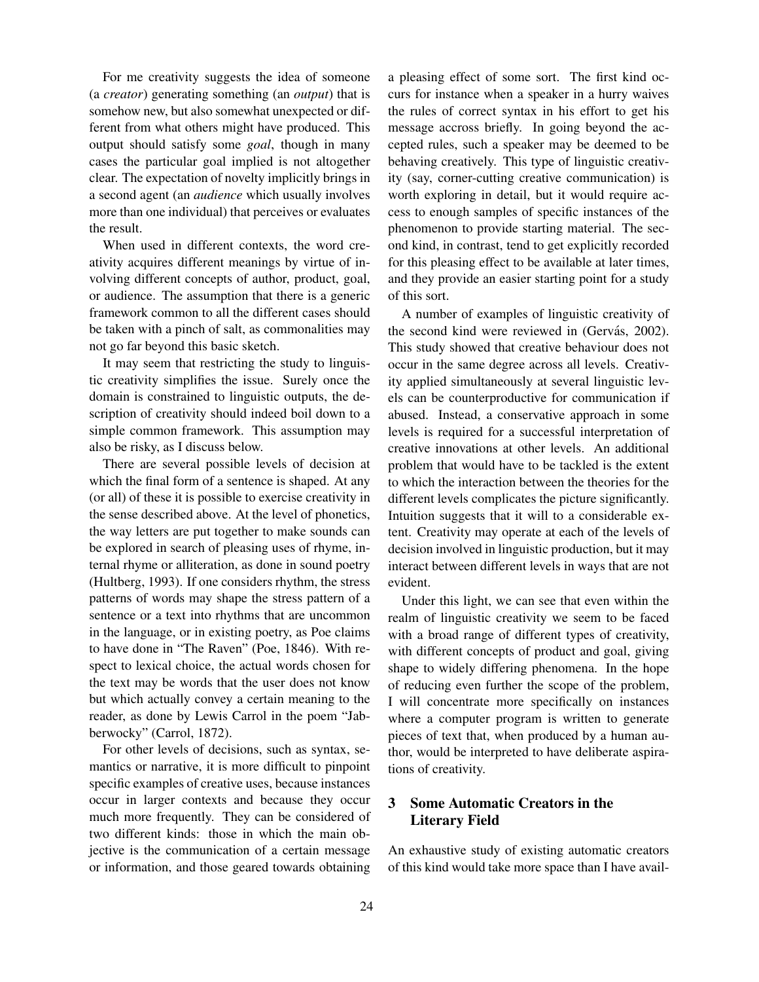For me creativity suggests the idea of someone (a *creator*) generating something (an *output*) that is somehow new, but also somewhat unexpected or different from what others might have produced. This output should satisfy some *goal*, though in many cases the particular goal implied is not altogether clear. The expectation of novelty implicitly brings in a second agent (an *audience* which usually involves more than one individual) that perceives or evaluates the result.

When used in different contexts, the word creativity acquires different meanings by virtue of involving different concepts of author, product, goal, or audience. The assumption that there is a generic framework common to all the different cases should be taken with a pinch of salt, as commonalities may not go far beyond this basic sketch.

It may seem that restricting the study to linguistic creativity simplifies the issue. Surely once the domain is constrained to linguistic outputs, the description of creativity should indeed boil down to a simple common framework. This assumption may also be risky, as I discuss below.

There are several possible levels of decision at which the final form of a sentence is shaped. At any (or all) of these it is possible to exercise creativity in the sense described above. At the level of phonetics, the way letters are put together to make sounds can be explored in search of pleasing uses of rhyme, internal rhyme or alliteration, as done in sound poetry (Hultberg, 1993). If one considers rhythm, the stress patterns of words may shape the stress pattern of a sentence or a text into rhythms that are uncommon in the language, or in existing poetry, as Poe claims to have done in "The Raven" (Poe, 1846). With respect to lexical choice, the actual words chosen for the text may be words that the user does not know but which actually convey a certain meaning to the reader, as done by Lewis Carrol in the poem "Jabberwocky" (Carrol, 1872).

For other levels of decisions, such as syntax, semantics or narrative, it is more difficult to pinpoint specific examples of creative uses, because instances occur in larger contexts and because they occur much more frequently. They can be considered of two different kinds: those in which the main objective is the communication of a certain message or information, and those geared towards obtaining

a pleasing effect of some sort. The first kind occurs for instance when a speaker in a hurry waives the rules of correct syntax in his effort to get his message accross briefly. In going beyond the accepted rules, such a speaker may be deemed to be behaving creatively. This type of linguistic creativity (say, corner-cutting creative communication) is worth exploring in detail, but it would require access to enough samples of specific instances of the phenomenon to provide starting material. The second kind, in contrast, tend to get explicitly recorded for this pleasing effect to be available at later times, and they provide an easier starting point for a study of this sort.

A number of examples of linguistic creativity of the second kind were reviewed in (Gervás, 2002). This study showed that creative behaviour does not occur in the same degree across all levels. Creativity applied simultaneously at several linguistic levels can be counterproductive for communication if abused. Instead, a conservative approach in some levels is required for a successful interpretation of creative innovations at other levels. An additional problem that would have to be tackled is the extent to which the interaction between the theories for the different levels complicates the picture significantly. Intuition suggests that it will to a considerable extent. Creativity may operate at each of the levels of decision involved in linguistic production, but it may interact between different levels in ways that are not evident.

Under this light, we can see that even within the realm of linguistic creativity we seem to be faced with a broad range of different types of creativity, with different concepts of product and goal, giving shape to widely differing phenomena. In the hope of reducing even further the scope of the problem, I will concentrate more specifically on instances where a computer program is written to generate pieces of text that, when produced by a human author, would be interpreted to have deliberate aspirations of creativity.

# 3 Some Automatic Creators in the Literary Field

An exhaustive study of existing automatic creators of this kind would take more space than I have avail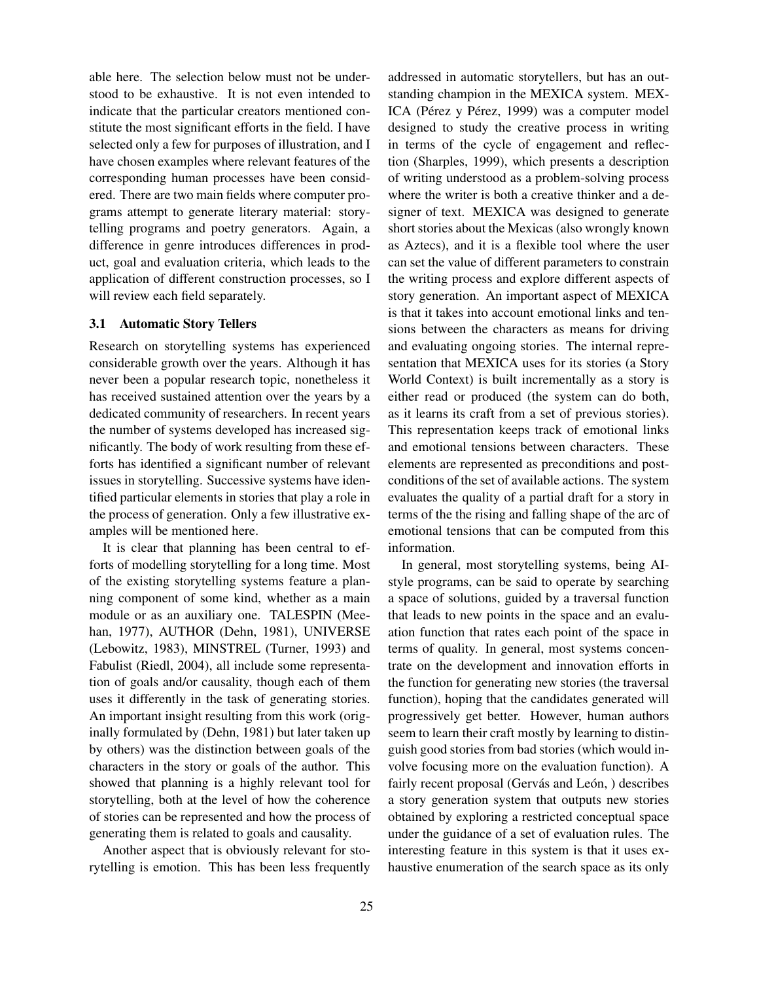able here. The selection below must not be understood to be exhaustive. It is not even intended to indicate that the particular creators mentioned constitute the most significant efforts in the field. I have selected only a few for purposes of illustration, and I have chosen examples where relevant features of the corresponding human processes have been considered. There are two main fields where computer programs attempt to generate literary material: storytelling programs and poetry generators. Again, a difference in genre introduces differences in product, goal and evaluation criteria, which leads to the application of different construction processes, so I will review each field separately.

#### 3.1 Automatic Story Tellers

Research on storytelling systems has experienced considerable growth over the years. Although it has never been a popular research topic, nonetheless it has received sustained attention over the years by a dedicated community of researchers. In recent years the number of systems developed has increased significantly. The body of work resulting from these efforts has identified a significant number of relevant issues in storytelling. Successive systems have identified particular elements in stories that play a role in the process of generation. Only a few illustrative examples will be mentioned here.

It is clear that planning has been central to efforts of modelling storytelling for a long time. Most of the existing storytelling systems feature a planning component of some kind, whether as a main module or as an auxiliary one. TALESPIN (Meehan, 1977), AUTHOR (Dehn, 1981), UNIVERSE (Lebowitz, 1983), MINSTREL (Turner, 1993) and Fabulist (Riedl, 2004), all include some representation of goals and/or causality, though each of them uses it differently in the task of generating stories. An important insight resulting from this work (originally formulated by (Dehn, 1981) but later taken up by others) was the distinction between goals of the characters in the story or goals of the author. This showed that planning is a highly relevant tool for storytelling, both at the level of how the coherence of stories can be represented and how the process of generating them is related to goals and causality.

Another aspect that is obviously relevant for storytelling is emotion. This has been less frequently addressed in automatic storytellers, but has an outstanding champion in the MEXICA system. MEX-ICA (Pérez y Pérez, 1999) was a computer model designed to study the creative process in writing in terms of the cycle of engagement and reflection (Sharples, 1999), which presents a description of writing understood as a problem-solving process where the writer is both a creative thinker and a designer of text. MEXICA was designed to generate short stories about the Mexicas (also wrongly known as Aztecs), and it is a flexible tool where the user can set the value of different parameters to constrain the writing process and explore different aspects of story generation. An important aspect of MEXICA is that it takes into account emotional links and tensions between the characters as means for driving and evaluating ongoing stories. The internal representation that MEXICA uses for its stories (a Story World Context) is built incrementally as a story is either read or produced (the system can do both, as it learns its craft from a set of previous stories). This representation keeps track of emotional links and emotional tensions between characters. These elements are represented as preconditions and postconditions of the set of available actions. The system evaluates the quality of a partial draft for a story in terms of the the rising and falling shape of the arc of emotional tensions that can be computed from this information.

In general, most storytelling systems, being AIstyle programs, can be said to operate by searching a space of solutions, guided by a traversal function that leads to new points in the space and an evaluation function that rates each point of the space in terms of quality. In general, most systems concentrate on the development and innovation efforts in the function for generating new stories (the traversal function), hoping that the candidates generated will progressively get better. However, human authors seem to learn their craft mostly by learning to distinguish good stories from bad stories (which would involve focusing more on the evaluation function). A fairly recent proposal (Gervás and León, ) describes a story generation system that outputs new stories obtained by exploring a restricted conceptual space under the guidance of a set of evaluation rules. The interesting feature in this system is that it uses exhaustive enumeration of the search space as its only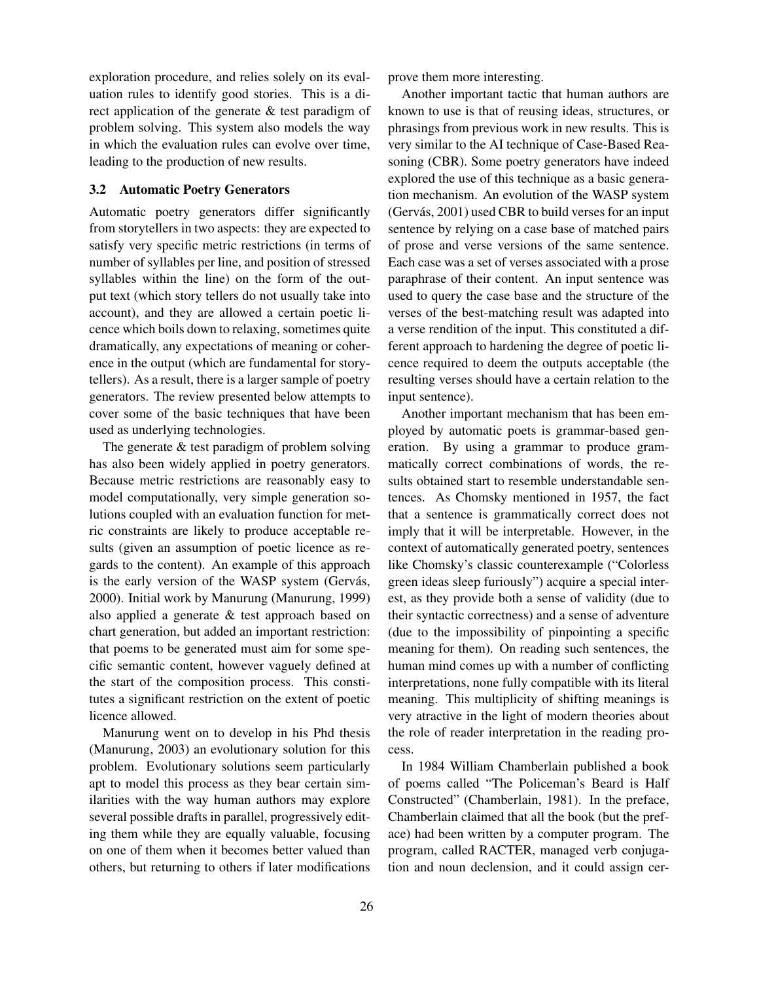exploration procedure, and relies solely on its evaluation rules to identify good stories. This is a direct application of the generate & test paradigm of problem solving. This system also models the way in which the evaluation rules can evolve over time, leading to the production of new results.

#### 3.2 Automatic Poetry Generators

Automatic poetry generators differ significantly from storytellers in two aspects: they are expected to satisfy very specific metric restrictions (in terms of number of syllables per line, and position of stressed syllables within the line) on the form of the output text (which story tellers do not usually take into account), and they are allowed a certain poetic licence which boils down to relaxing, sometimes quite dramatically, any expectations of meaning or coherence in the output (which are fundamental for storytellers). As a result, there is a larger sample of poetry generators. The review presented below attempts to cover some of the basic techniques that have been used as underlying technologies.

The generate & test paradigm of problem solving has also been widely applied in poetry generators. Because metric restrictions are reasonably easy to model computationally, very simple generation solutions coupled with an evaluation function for metric constraints are likely to produce acceptable results (given an assumption of poetic licence as regards to the content). An example of this approach is the early version of the WASP system (Gervás, 2000). Initial work by Manurung (Manurung, 1999) also applied a generate & test approach based on chart generation, but added an important restriction: that poems to be generated must aim for some specific semantic content, however vaguely defined at the start of the composition process. This constitutes a significant restriction on the extent of poetic licence allowed.

Manurung went on to develop in his Phd thesis (Manurung, 2003) an evolutionary solution for this problem. Evolutionary solutions seem particularly apt to model this process as they bear certain similarities with the way human authors may explore several possible drafts in parallel, progressively editing them while they are equally valuable, focusing on one of them when it becomes better valued than others, but returning to others if later modifications

prove them more interesting.

Another important tactic that human authors are known to use is that of reusing ideas, structures, or phrasings from previous work in new results. This is very similar to the AI technique of Case-Based Reasoning (CBR). Some poetry generators have indeed explored the use of this technique as a basic generation mechanism. An evolution of the WASP system (Gervás, 2001) used CBR to build verses for an input sentence by relying on a case base of matched pairs of prose and verse versions of the same sentence. Each case was a set of verses associated with a prose paraphrase of their content. An input sentence was used to query the case base and the structure of the verses of the best-matching result was adapted into a verse rendition of the input. This constituted a different approach to hardening the degree of poetic licence required to deem the outputs acceptable (the resulting verses should have a certain relation to the input sentence).

Another important mechanism that has been employed by automatic poets is grammar-based generation. By using a grammar to produce grammatically correct combinations of words, the results obtained start to resemble understandable sentences. As Chomsky mentioned in 1957, the fact that a sentence is grammatically correct does not imply that it will be interpretable. However, in the context of automatically generated poetry, sentences like Chomsky's classic counterexample ("Colorless green ideas sleep furiously") acquire a special interest, as they provide both a sense of validity (due to their syntactic correctness) and a sense of adventure (due to the impossibility of pinpointing a specific meaning for them). On reading such sentences, the human mind comes up with a number of conflicting interpretations, none fully compatible with its literal meaning. This multiplicity of shifting meanings is very atractive in the light of modern theories about the role of reader interpretation in the reading process.

In 1984 William Chamberlain published a book of poems called "The Policeman's Beard is Half Constructed" (Chamberlain, 1981). In the preface, Chamberlain claimed that all the book (but the preface) had been written by a computer program. The program, called RACTER, managed verb conjugation and noun declension, and it could assign cer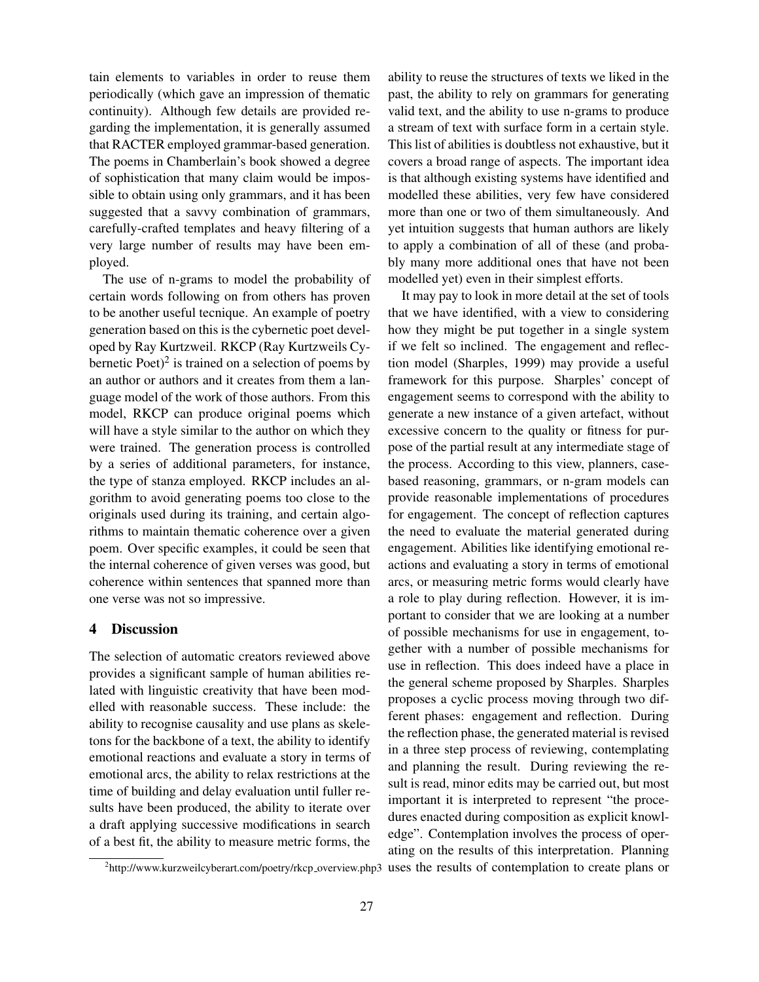tain elements to variables in order to reuse them periodically (which gave an impression of thematic continuity). Although few details are provided regarding the implementation, it is generally assumed that RACTER employed grammar-based generation. The poems in Chamberlain's book showed a degree of sophistication that many claim would be impossible to obtain using only grammars, and it has been suggested that a savvy combination of grammars, carefully-crafted templates and heavy filtering of a very large number of results may have been employed.

The use of n-grams to model the probability of certain words following on from others has proven to be another useful tecnique. An example of poetry generation based on this is the cybernetic poet developed by Ray Kurtzweil. RKCP (Ray Kurtzweils Cybernetic Poet)<sup>2</sup> is trained on a selection of poems by an author or authors and it creates from them a language model of the work of those authors. From this model, RKCP can produce original poems which will have a style similar to the author on which they were trained. The generation process is controlled by a series of additional parameters, for instance, the type of stanza employed. RKCP includes an algorithm to avoid generating poems too close to the originals used during its training, and certain algorithms to maintain thematic coherence over a given poem. Over specific examples, it could be seen that the internal coherence of given verses was good, but coherence within sentences that spanned more than one verse was not so impressive.

## 4 Discussion

The selection of automatic creators reviewed above provides a significant sample of human abilities related with linguistic creativity that have been modelled with reasonable success. These include: the ability to recognise causality and use plans as skeletons for the backbone of a text, the ability to identify emotional reactions and evaluate a story in terms of emotional arcs, the ability to relax restrictions at the time of building and delay evaluation until fuller results have been produced, the ability to iterate over a draft applying successive modifications in search of a best fit, the ability to measure metric forms, the ability to reuse the structures of texts we liked in the past, the ability to rely on grammars for generating valid text, and the ability to use n-grams to produce a stream of text with surface form in a certain style. This list of abilities is doubtless not exhaustive, but it covers a broad range of aspects. The important idea is that although existing systems have identified and modelled these abilities, very few have considered more than one or two of them simultaneously. And yet intuition suggests that human authors are likely to apply a combination of all of these (and probably many more additional ones that have not been modelled yet) even in their simplest efforts.

It may pay to look in more detail at the set of tools that we have identified, with a view to considering how they might be put together in a single system if we felt so inclined. The engagement and reflection model (Sharples, 1999) may provide a useful framework for this purpose. Sharples' concept of engagement seems to correspond with the ability to generate a new instance of a given artefact, without excessive concern to the quality or fitness for purpose of the partial result at any intermediate stage of the process. According to this view, planners, casebased reasoning, grammars, or n-gram models can provide reasonable implementations of procedures for engagement. The concept of reflection captures the need to evaluate the material generated during engagement. Abilities like identifying emotional reactions and evaluating a story in terms of emotional arcs, or measuring metric forms would clearly have a role to play during reflection. However, it is important to consider that we are looking at a number of possible mechanisms for use in engagement, together with a number of possible mechanisms for use in reflection. This does indeed have a place in the general scheme proposed by Sharples. Sharples proposes a cyclic process moving through two different phases: engagement and reflection. During the reflection phase, the generated material is revised in a three step process of reviewing, contemplating and planning the result. During reviewing the result is read, minor edits may be carried out, but most important it is interpreted to represent "the procedures enacted during composition as explicit knowledge". Contemplation involves the process of operating on the results of this interpretation. Planning

<sup>&</sup>lt;sup>2</sup>http://www.kurzweilcyberart.com/poetry/rkcp\_overview.php3 uses the results of contemplation to create plans or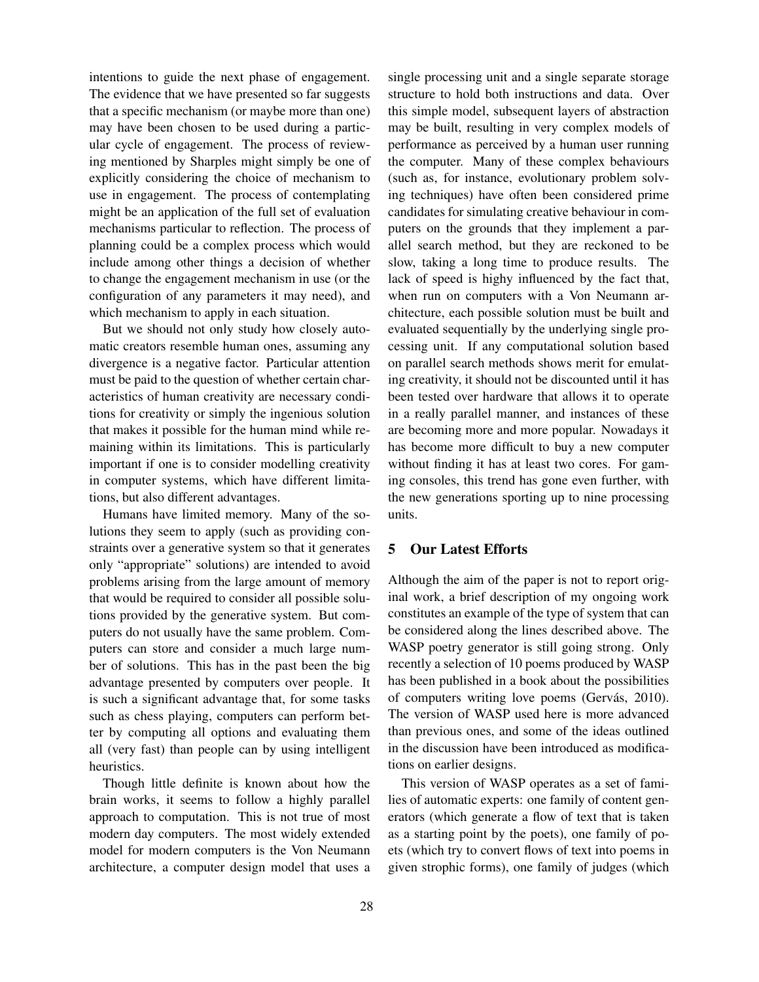intentions to guide the next phase of engagement. The evidence that we have presented so far suggests that a specific mechanism (or maybe more than one) may have been chosen to be used during a particular cycle of engagement. The process of reviewing mentioned by Sharples might simply be one of explicitly considering the choice of mechanism to use in engagement. The process of contemplating might be an application of the full set of evaluation mechanisms particular to reflection. The process of planning could be a complex process which would include among other things a decision of whether to change the engagement mechanism in use (or the configuration of any parameters it may need), and which mechanism to apply in each situation.

But we should not only study how closely automatic creators resemble human ones, assuming any divergence is a negative factor. Particular attention must be paid to the question of whether certain characteristics of human creativity are necessary conditions for creativity or simply the ingenious solution that makes it possible for the human mind while remaining within its limitations. This is particularly important if one is to consider modelling creativity in computer systems, which have different limitations, but also different advantages.

Humans have limited memory. Many of the solutions they seem to apply (such as providing constraints over a generative system so that it generates only "appropriate" solutions) are intended to avoid problems arising from the large amount of memory that would be required to consider all possible solutions provided by the generative system. But computers do not usually have the same problem. Computers can store and consider a much large number of solutions. This has in the past been the big advantage presented by computers over people. It is such a significant advantage that, for some tasks such as chess playing, computers can perform better by computing all options and evaluating them all (very fast) than people can by using intelligent heuristics.

Though little definite is known about how the brain works, it seems to follow a highly parallel approach to computation. This is not true of most modern day computers. The most widely extended model for modern computers is the Von Neumann architecture, a computer design model that uses a

single processing unit and a single separate storage structure to hold both instructions and data. Over this simple model, subsequent layers of abstraction may be built, resulting in very complex models of performance as perceived by a human user running the computer. Many of these complex behaviours (such as, for instance, evolutionary problem solving techniques) have often been considered prime candidates for simulating creative behaviour in computers on the grounds that they implement a parallel search method, but they are reckoned to be slow, taking a long time to produce results. The lack of speed is highy influenced by the fact that, when run on computers with a Von Neumann architecture, each possible solution must be built and evaluated sequentially by the underlying single processing unit. If any computational solution based on parallel search methods shows merit for emulating creativity, it should not be discounted until it has been tested over hardware that allows it to operate in a really parallel manner, and instances of these are becoming more and more popular. Nowadays it has become more difficult to buy a new computer without finding it has at least two cores. For gaming consoles, this trend has gone even further, with the new generations sporting up to nine processing units.

## 5 Our Latest Efforts

Although the aim of the paper is not to report original work, a brief description of my ongoing work constitutes an example of the type of system that can be considered along the lines described above. The WASP poetry generator is still going strong. Only recently a selection of 10 poems produced by WASP has been published in a book about the possibilities of computers writing love poems (Gervás, 2010). The version of WASP used here is more advanced than previous ones, and some of the ideas outlined in the discussion have been introduced as modifications on earlier designs.

This version of WASP operates as a set of families of automatic experts: one family of content generators (which generate a flow of text that is taken as a starting point by the poets), one family of poets (which try to convert flows of text into poems in given strophic forms), one family of judges (which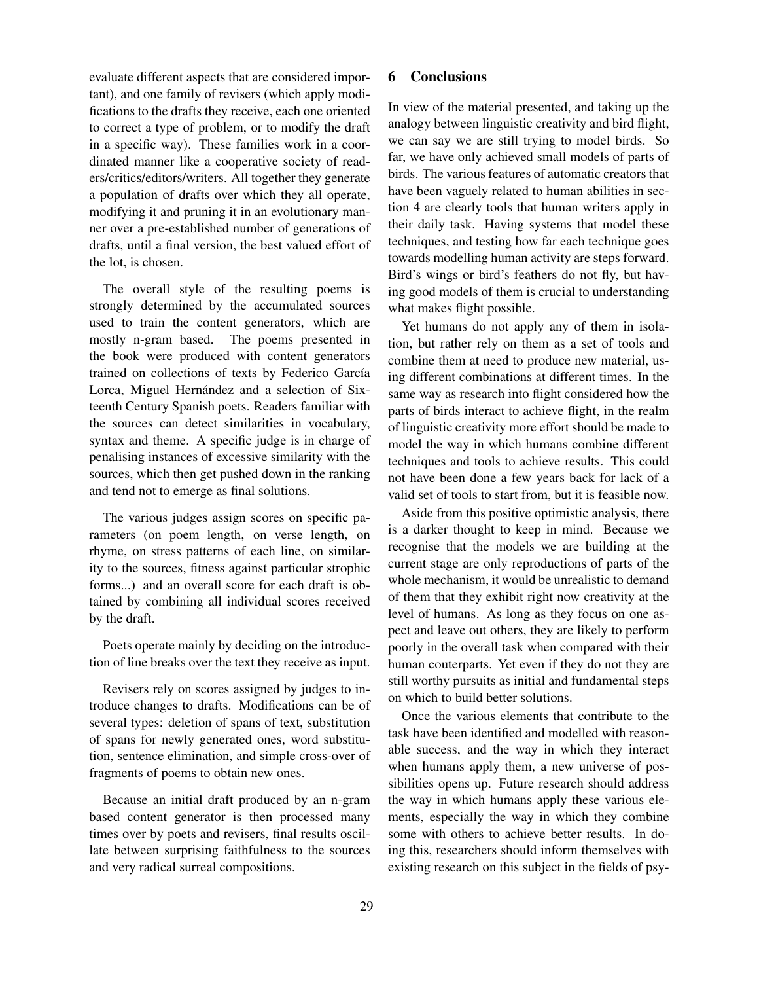evaluate different aspects that are considered important), and one family of revisers (which apply modifications to the drafts they receive, each one oriented to correct a type of problem, or to modify the draft in a specific way). These families work in a coordinated manner like a cooperative society of readers/critics/editors/writers. All together they generate a population of drafts over which they all operate, modifying it and pruning it in an evolutionary manner over a pre-established number of generations of drafts, until a final version, the best valued effort of the lot, is chosen.

The overall style of the resulting poems is strongly determined by the accumulated sources used to train the content generators, which are mostly n-gram based. The poems presented in the book were produced with content generators trained on collections of texts by Federico García Lorca, Miguel Hernández and a selection of Sixteenth Century Spanish poets. Readers familiar with the sources can detect similarities in vocabulary, syntax and theme. A specific judge is in charge of penalising instances of excessive similarity with the sources, which then get pushed down in the ranking and tend not to emerge as final solutions.

The various judges assign scores on specific parameters (on poem length, on verse length, on rhyme, on stress patterns of each line, on similarity to the sources, fitness against particular strophic forms...) and an overall score for each draft is obtained by combining all individual scores received by the draft.

Poets operate mainly by deciding on the introduction of line breaks over the text they receive as input.

Revisers rely on scores assigned by judges to introduce changes to drafts. Modifications can be of several types: deletion of spans of text, substitution of spans for newly generated ones, word substitution, sentence elimination, and simple cross-over of fragments of poems to obtain new ones.

Because an initial draft produced by an n-gram based content generator is then processed many times over by poets and revisers, final results oscillate between surprising faithfulness to the sources and very radical surreal compositions.

## 6 Conclusions

In view of the material presented, and taking up the analogy between linguistic creativity and bird flight, we can say we are still trying to model birds. So far, we have only achieved small models of parts of birds. The various features of automatic creators that have been vaguely related to human abilities in section 4 are clearly tools that human writers apply in their daily task. Having systems that model these techniques, and testing how far each technique goes towards modelling human activity are steps forward. Bird's wings or bird's feathers do not fly, but having good models of them is crucial to understanding what makes flight possible.

Yet humans do not apply any of them in isolation, but rather rely on them as a set of tools and combine them at need to produce new material, using different combinations at different times. In the same way as research into flight considered how the parts of birds interact to achieve flight, in the realm of linguistic creativity more effort should be made to model the way in which humans combine different techniques and tools to achieve results. This could not have been done a few years back for lack of a valid set of tools to start from, but it is feasible now.

Aside from this positive optimistic analysis, there is a darker thought to keep in mind. Because we recognise that the models we are building at the current stage are only reproductions of parts of the whole mechanism, it would be unrealistic to demand of them that they exhibit right now creativity at the level of humans. As long as they focus on one aspect and leave out others, they are likely to perform poorly in the overall task when compared with their human couterparts. Yet even if they do not they are still worthy pursuits as initial and fundamental steps on which to build better solutions.

Once the various elements that contribute to the task have been identified and modelled with reasonable success, and the way in which they interact when humans apply them, a new universe of possibilities opens up. Future research should address the way in which humans apply these various elements, especially the way in which they combine some with others to achieve better results. In doing this, researchers should inform themselves with existing research on this subject in the fields of psy